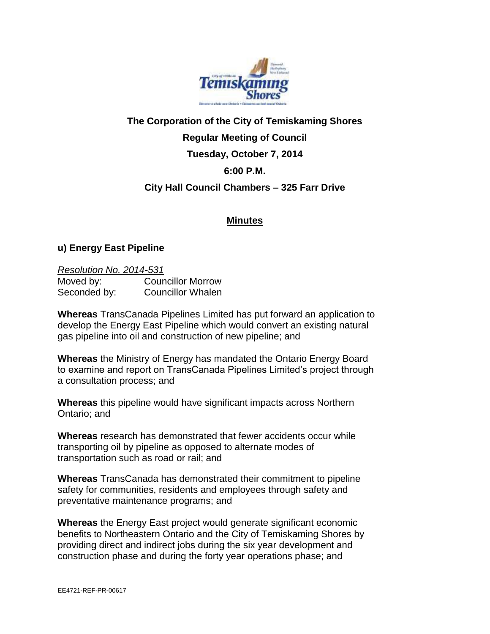

## **The Corporation of the City of Temiskaming Shores Regular Meeting of Council Tuesday, October 7, 2014 6:00 P.M. City Hall Council Chambers – 325 Farr Drive**

## **Minutes**

## **u) Energy East Pipeline**

## *Resolution No. 2014-531*

| Moved by:    | <b>Councillor Morrow</b> |
|--------------|--------------------------|
| Seconded by: | <b>Councillor Whalen</b> |

**Whereas** TransCanada Pipelines Limited has put forward an application to develop the Energy East Pipeline which would convert an existing natural gas pipeline into oil and construction of new pipeline; and

**Whereas** the Ministry of Energy has mandated the Ontario Energy Board to examine and report on TransCanada Pipelines Limited's project through a consultation process; and

**Whereas** this pipeline would have significant impacts across Northern Ontario; and

**Whereas** research has demonstrated that fewer accidents occur while transporting oil by pipeline as opposed to alternate modes of transportation such as road or rail; and

**Whereas** TransCanada has demonstrated their commitment to pipeline safety for communities, residents and employees through safety and preventative maintenance programs; and

**Whereas** the Energy East project would generate significant economic benefits to Northeastern Ontario and the City of Temiskaming Shores by providing direct and indirect jobs during the six year development and construction phase and during the forty year operations phase; and